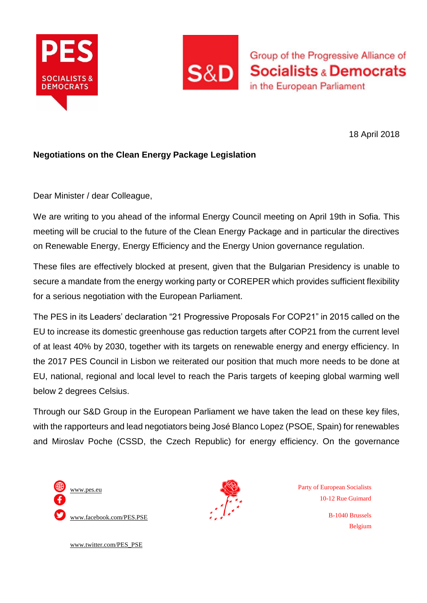



Group of the Progressive Alliance of **Socialists & Democrats** in the European Parliament

18 April 2018

## **Negotiations on the Clean Energy Package Legislation**

Dear Minister / dear Colleague,

We are writing to you ahead of the informal Energy Council meeting on April 19th in Sofia. This meeting will be crucial to the future of the Clean Energy Package and in particular the directives on Renewable Energy, Energy Efficiency and the Energy Union governance regulation.

These files are effectively blocked at present, given that the Bulgarian Presidency is unable to secure a mandate from the energy working party or COREPER which provides sufficient flexibility for a serious negotiation with the European Parliament.

The PES in its Leaders' declaration "21 Progressive Proposals For COP21" in 2015 called on the EU to increase its domestic greenhouse gas reduction targets after COP21 from the current level of at least 40% by 2030, together with its targets on renewable energy and energy efficiency. In the 2017 PES Council in Lisbon we reiterated our position that much more needs to be done at EU, national, regional and local level to reach the Paris targets of keeping global warming well below 2 degrees Celsius.

Through our S&D Group in the European Parliament we have taken the lead on these key files, with the rapporteurs and lead negotiators being José Blanco Lopez (PSOE, Spain) for renewables and Miroslav Poche (CSSD, the Czech Republic) for energy efficiency. On the governance





Party of European Socialists 10-12 Rue Guimard

> B-1040 Brussels Belgium

[www.twitter.com/PES\\_PSE](http://www.twitter.com/PES_PSE)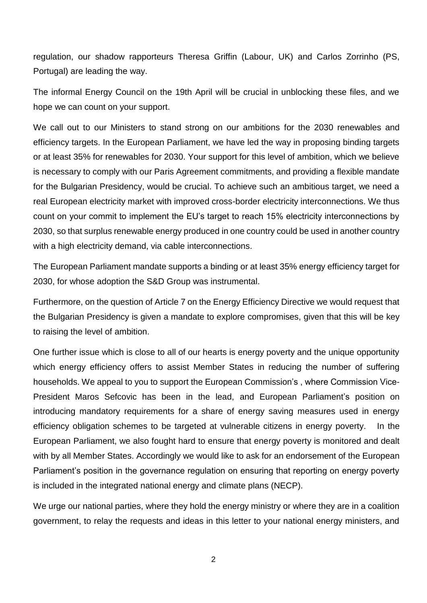regulation, our shadow rapporteurs Theresa Griffin (Labour, UK) and Carlos Zorrinho (PS, Portugal) are leading the way.

The informal Energy Council on the 19th April will be crucial in unblocking these files, and we hope we can count on your support.

We call out to our Ministers to stand strong on our ambitions for the 2030 renewables and efficiency targets. In the European Parliament, we have led the way in proposing binding targets or at least 35% for renewables for 2030. Your support for this level of ambition, which we believe is necessary to comply with our Paris Agreement commitments, and providing a flexible mandate for the Bulgarian Presidency, would be crucial. To achieve such an ambitious target, we need a real European electricity market with improved cross-border electricity interconnections. We thus count on your commit to implement the EU's target to reach 15% electricity interconnections by 2030, so that surplus renewable energy produced in one country could be used in another country with a high electricity demand, via cable interconnections.

The European Parliament mandate supports a binding or at least 35% energy efficiency target for 2030, for whose adoption the S&D Group was instrumental.

Furthermore, on the question of Article 7 on the Energy Efficiency Directive we would request that the Bulgarian Presidency is given a mandate to explore compromises, given that this will be key to raising the level of ambition.

One further issue which is close to all of our hearts is energy poverty and the unique opportunity which energy efficiency offers to assist Member States in reducing the number of suffering households. We appeal to you to support the European Commission's , where Commission Vice-President Maros Sefcovic has been in the lead, and European Parliament's position on introducing mandatory requirements for a share of energy saving measures used in energy efficiency obligation schemes to be targeted at vulnerable citizens in energy poverty. In the European Parliament, we also fought hard to ensure that energy poverty is monitored and dealt with by all Member States. Accordingly we would like to ask for an endorsement of the European Parliament's position in the governance regulation on ensuring that reporting on energy poverty is included in the integrated national energy and climate plans (NECP).

We urge our national parties, where they hold the energy ministry or where they are in a coalition government, to relay the requests and ideas in this letter to your national energy ministers, and

2